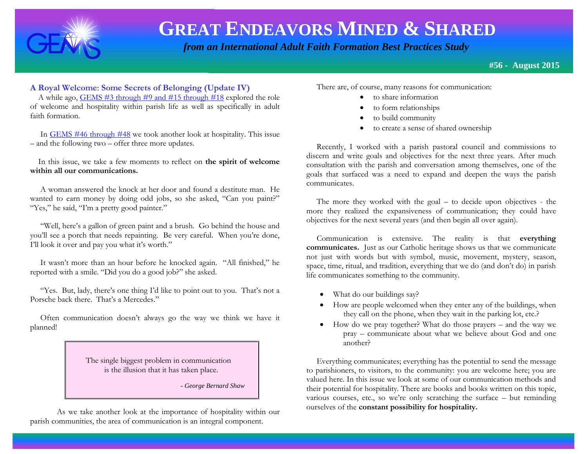

 *from an International Adult Faith Formation Best Practices Study*

**#56 - August 2015**

#### **201 A Royal Welcome**: **Some Secrets of Belonging (Update IV)**

A while ago,  $GEMS$  #3 through #9 and #15 through #18 explored the role of welcome and hospitality within parish life as well as specifically in adult faith formation.

 In [GEMS #46 through #48](http://www.janetschaeffler.com/Best-Practices.html) we took another look at hospitality. This issue – and the following two – offer three more updates.

 In this issue, we take a few moments to reflect on **the spirit of welcome within all our communications.** 

 A woman answered the knock at her door and found a destitute man. He wanted to earn money by doing odd jobs, so she asked, "Can you paint?" "Yes," he said, "I'm a pretty good painter."

 "Well, here's a gallon of green paint and a brush. Go behind the house and you'll see a porch that needs repainting. Be very careful. When you're done, I'll look it over and pay you what it's worth."

 It wasn't more than an hour before he knocked again. "All finished," he reported with a smile. "Did you do a good job?" she asked.

 "Yes. But, lady, there's one thing I'd like to point out to you. That's not a Porsche back there. That's a Mercedes."

 Often communication doesn't always go the way we think we have it planned!

> The single biggest problem in communication is the illusion that it has taken place.

> > *- George Bernard Shaw*

As we take another look at the importance of hospitality within our parish communities, the area of communication is an integral component.

There are, of course, many reasons for communication:

- to share information
- to form relationships
- to build community
- to create a sense of shared ownership

 Recently, I worked with a parish pastoral council and commissions to discern and write goals and objectives for the next three years. After much consultation with the parish and conversation among themselves, one of the goals that surfaced was a need to expand and deepen the ways the parish communicates.

 The more they worked with the goal – to decide upon objectives - the more they realized the expansiveness of communication; they could have objectives for the next several years (and then begin all over again).

 Communication is extensive. The reality is that **everything communicates.** Just as our Catholic heritage shows us that we communicate not just with words but with symbol, music, movement, mystery, season, space, time, ritual, and tradition, everything that we do (and don't do) in parish life communicates something to the community.

- What do our buildings say?
- How are people welcomed when they enter any of the buildings, when they call on the phone, when they wait in the parking lot, etc.?
- How do we pray together? What do those prayers and the way we pray – communicate about what we believe about God and one another?

 Everything communicates; everything has the potential to send the message to parishioners, to visitors, to the community: you are welcome here; you are valued here. In this issue we look at some of our communication methods and their potential for hospitality. There are books and books written on this topic, various courses, etc., so we're only scratching the surface – but reminding ourselves of the **constant possibility for hospitality.**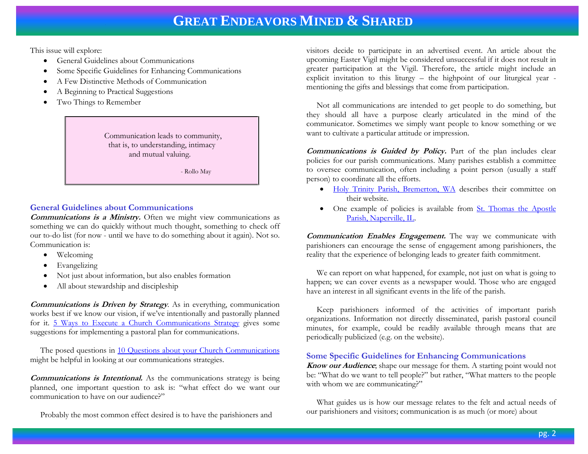This issue will explore:

- General Guidelines about Communications
- Some Specific Guidelines for Enhancing Communications
- A Few Distinctive Methods of Communication
- A Beginning to Practical Suggestions
- Two Things to Remember

 Communication leads to community, that is, to understanding, intimacy and mutual valuing.

- Rollo May

#### **General Guidelines about Communications**

**Communications is a Ministry.** Often we might view communications as something we can do quickly without much thought, something to check off our to-do list (for now - until we have to do something about it again). Not so. Communication is:

- Welcoming
- Evangelizing
- Not just about information, but also enables formation
- All about stewardship and discipleship

**Communications is Driven by Strategy**. As in everything, communication works best if we know our vision, if we've intentionally and pastorally planned for it. [5 Ways to Execute a Church Communications Strategy](http://www.churchleaders.com/pastors/pastor-blogs/166298-5-ways-to-execute-a-church-communications-strategy.html) gives some suggestions for implementing a pastoral plan for communications.

The posed questions in 10 Questions about your Church Communications might be helpful in looking at our communications strategies.

**Communications is Intentional.** As the communications strategy is being planned, one important question to ask is: "what effect do we want our communication to have on our audience?"

Probably the most common effect desired is to have the parishioners and

visitors decide to participate in an advertised event. An article about the upcoming Easter Vigil might be considered unsuccessful if it does not result in greater participation at the Vigil. Therefore, the article might include an explicit invitation to this liturgy – the highpoint of our liturgical year mentioning the gifts and blessings that come from participation.

 Not all communications are intended to get people to do something, but they should all have a purpose clearly articulated in the mind of the communicator. Sometimes we simply want people to know something or we want to cultivate a particular attitude or impression.

**Communications is Guided by Policy.** Part of the plan includes clear policies for our parish communications. Many parishes establish a committee to oversee communication, often including a point person (usually a staff person) to coordinate all the efforts.

- [Holy Trinity Parish, Bremerton, WA](http://htcbremerton.org/about-us/councils-commissions/pastoral-council/communications-committee) describes their committee on their website.
- One example of policies is available from St. Thomas the Apostle [Parish, Naperville, IL.](http://www.catholicwebsolutions.com/wp-content/uploads/2010/11/St.-Thomas-Parish-Policy-for-External-Communications.pdf)

**Communication Enables Engagement.** The way we communicate with parishioners can encourage the sense of engagement among parishioners, the reality that the experience of belonging leads to greater faith commitment.

We can report on what happened, for example, not just on what is going to happen; we can cover events as a newspaper would. Those who are engaged have an interest in all significant events in the life of the parish.

 Keep parishioners informed of the activities of important parish organizations. Information not directly disseminated, parish pastoral council minutes, for example, could be readily available through means that are periodically publicized (e.g. on the website).

#### **Some Specific Guidelines for Enhancing Communications**

**Know our Audience**; shape our message for them. A starting point would not be: "What do we want to tell people?" but rather, "What matters to the people with whom we are communicating?"

 What guides us is how our message relates to the felt and actual needs of our parishioners and visitors; communication is as much (or more) about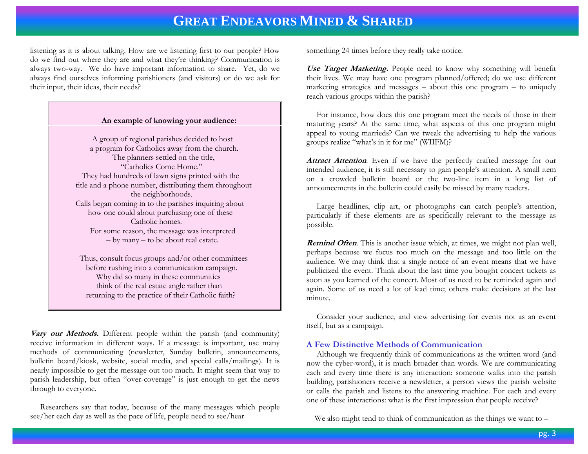listening as it is about talking. How are we listening first to our people? How do we find out where they are and what they're thinking? Communication is always two-way. We do have important information to share. Yet, do we always find ourselves informing parishioners (and visitors) or do we ask for their input, their ideas, their needs?

#### **An example of knowing your audience:**

 A group of regional parishes decided to host a program for Catholics away from the church. The planners settled on the title, "Catholics Come Home." They had hundreds of lawn signs printed with the title and a phone number, distributing them throughout the neighborhoods. Calls began coming in to the parishes inquiring about how one could about purchasing one of these Catholic homes. For some reason, the message was interpreted – by many – to be about real estate.

 Thus, consult focus groups and/or other committees before rushing into a communication campaign. Why did so many in these communities think of the real estate angle rather than returning to the practice of their Catholic faith?

**Vary our Methods.** Different people within the parish (and community) receive information in different ways. If a message is important, use many methods of communicating (newsletter, Sunday bulletin, announcements, bulletin board/kiosk, website, social media, and special calls/mailings). It is nearly impossible to get the message out too much. It might seem that way to parish leadership, but often "over-coverage" is just enough to get the news through to everyone.

 Researchers say that today, because of the many messages which people see/her each day as well as the pace of life, people need to see/hear

something 24 times before they really take notice.

**Use Target Marketing.** People need to know why something will benefit their lives. We may have one program planned/offered; do we use different marketing strategies and messages – about this one program – to uniquely reach various groups within the parish?

 For instance, how does this one program meet the needs of those in their maturing years? At the same time, what aspects of this one program might appeal to young marrieds? Can we tweak the advertising to help the various groups realize "what's in it for me" (WIIFM)?

Attract Attention. Even if we have the perfectly crafted message for our intended audience, it is still necessary to gain people's attention. A small item on a crowded bulletin board or the two-line item in a long list of announcements in the bulletin could easily be missed by many readers.

 Large headlines, clip art, or photographs can catch people's attention, particularly if these elements are as specifically relevant to the message as possible.

**Remind Often**. This is another issue which, at times, we might not plan well, perhaps because we focus too much on the message and too little on the audience. We may think that a single notice of an event means that we have publicized the event. Think about the last time you bought concert tickets as soon as you learned of the concert. Most of us need to be reminded again and again. Some of us need a lot of lead time; others make decisions at the last minute.

 Consider your audience, and view advertising for events not as an event itself, but as a campaign.

#### **A Few Distinctive Methods of Communication**

 Although we frequently think of communications as the written word (and now the cyber-word), it is much broader than words. We are communicating each and every time there is any interaction: someone walks into the parish building, parishioners receive a newsletter, a person views the parish website or calls the parish and listens to the answering machine. For each and every one of these interactions: what is the first impression that people receive?

We also might tend to think of communication as the things we want to –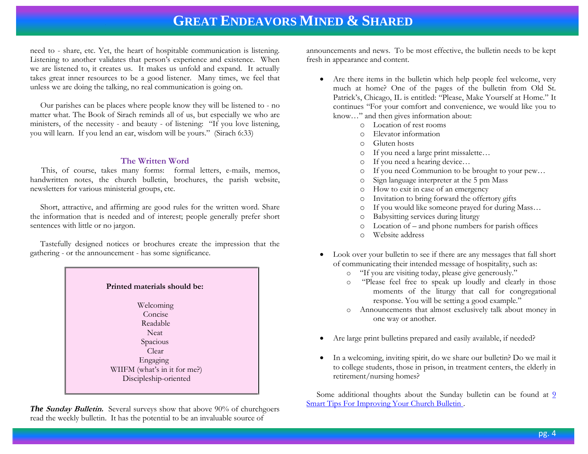need to - share, etc. Yet, the heart of hospitable communication is listening. Listening to another validates that person's experience and existence. When we are listened to, it creates us. It makes us unfold and expand. It actually takes great inner resources to be a good listener. Many times, we feel that unless we are doing the talking, no real communication is going on.

 Our parishes can be places where people know they will be listened to - no matter what. The Book of Sirach reminds all of us, but especially we who are ministers, of the necessity - and beauty - of listening: "If you love listening, you will learn. If you lend an ear, wisdom will be yours." (Sirach 6:33)

#### **The Written Word**

This, of course, takes many forms: formal letters, e-mails, memos, handwritten notes, the church bulletin, brochures, the parish website, newsletters for various ministerial groups, etc.

 Short, attractive, and affirming are good rules for the written word. Share the information that is needed and of interest; people generally prefer short sentences with little or no jargon.

 Tastefully designed notices or brochures create the impression that the gathering - or the announcement - has some significance.



*The Sunday Bulletin.* Several surveys show that above 90% of churchgoers read the weekly bulletin. It has the potential to be an invaluable source of

announcements and news. To be most effective, the bulletin needs to be kept fresh in appearance and content.

- Are there items in the bulletin which help people feel welcome, very much at home? One of the pages of the bulletin from Old St. Patrick's, Chicago, IL is entitled: "Please, Make Yourself at Home." It continues "For your comfort and convenience, we would like you to know…" and then gives information about:
	- o Location of rest rooms
	- o Elevator information
	- o Gluten hosts
	- o If you need a large print missalette…
	- o If you need a hearing device…
	- o If you need Communion to be brought to your pew…
	- o Sign language interpreter at the 5 pm Mass
	- o How to exit in case of an emergency
	- o Invitation to bring forward the offertory gifts
	- o If you would like someone prayed for during Mass…
	- o Babysitting services during liturgy
	- o Location of and phone numbers for parish offices
	- o Website address
- Look over your bulletin to see if there are any messages that fall short of communicating their intended message of hospitality, such as:
	- o "If you are visiting today, please give generously."
	- "Please feel free to speak up loudly and clearly in those moments of the liturgy that call for congregational response. You will be setting a good example."
	- o Announcements that almost exclusively talk about money in one way or another.
- Are large print bulletins prepared and easily available, if needed?
- In a welcoming, inviting spirit, do we share our bulletin? Do we mail it to college students, those in prison, in treatment centers, the elderly in retirement/nursing homes?

Some additional thoughts about the Sunday bulletin can be found at  $9$ [Smart Tips For Improving Your Church Bulletin .](http://www.stevefogg.com/2015/03/03/tips-church-bulletin/)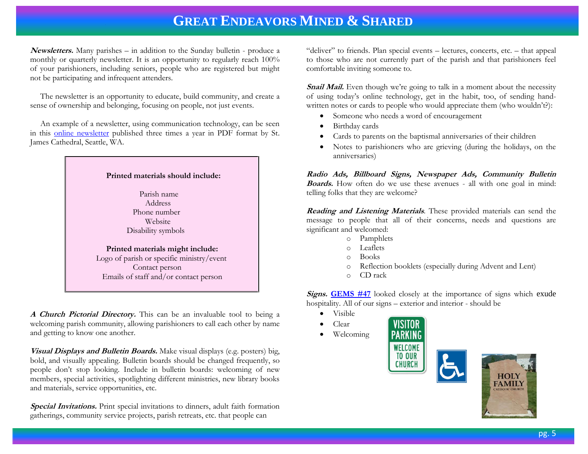**Newsletters.** Many parishes – in addition to the Sunday bulletin - produce a monthly or quarterly newsletter. It is an opportunity to regularly reach 100% of your parishioners, including seniors, people who are registered but might not be participating and infrequent attenders.

 The newsletter is an opportunity to educate, build community, and create a sense of ownership and belonging, focusing on people, not just events.

 An example of a newsletter, using communication technology, can be seen in this [online newsletter](http://www.stjames-cathedral.org/Pubs/Midst/09Sept/IYM%20Sept%202009.pdf) published three times a year in PDF format by St. James Cathedral, Seattle, WA.



**A Church Pictorial Directory.** This can be an invaluable tool to being a welcoming parish community, allowing parishioners to call each other by name and getting to know one another.

**Visual Displays and Bulletin Boards.** Make visual displays (e.g. posters) big, bold, and visually appealing. Bulletin boards should be changed frequently, so people don't stop looking. Include in bulletin boards: welcoming of new members, special activities, spotlighting different ministries, new library books and materials, service opportunities, etc.

**Special Invitations.** Print special invitations to dinners, adult faith formation gatherings, community service projects, parish retreats, etc. that people can

"deliver" to friends. Plan special events – lectures, concerts, etc. – that appeal to those who are not currently part of the parish and that parishioners feel comfortable inviting someone to.

**Snail Mail.** Even though we're going to talk in a moment about the necessity of using today's online technology, get in the habit, too, of sending handwritten notes or cards to people who would appreciate them (who wouldn't?):

- Someone who needs a word of encouragement
- Birthday cards
- Cards to parents on the baptismal anniversaries of their children
- Notes to parishioners who are grieving (during the holidays, on the anniversaries)

**Radio Ads, Billboard Signs, Newspaper Ads, Community Bulletin Boards.** How often do we use these avenues - all with one goal in mind: telling folks that they are welcome?

**Reading and Listening Materials**. These provided materials can send the message to people that all of their concerns, needs and questions are significant and welcomed:

- o Pamphlets
- o Leaflets
- o Books
- o Reflection booklets (especially during Advent and Lent)
- o CD rack

**Signs. [GEMS #47](http://www.janetschaeffler.com/GEMS__47.pdf)** looked closely at the importance of signs which exude hospitality. All of our signs – exterior and interior - should be

- Visible
- Clear
- Welcoming



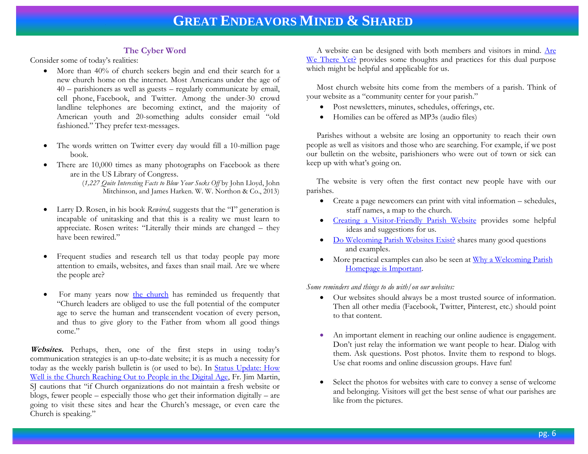#### **The Cyber Word**

Consider some of today's realities:

- More than 40% of church seekers begin and end their search for a new church home on the internet. Most Americans under the age of 40 – parishioners as well as guests – regularly communicate by email, cell phone, Facebook, and Twitter. Among the under-30 crowd landline telephones are becoming extinct, and the majority of American youth and 20-something adults consider email "old fashioned." They prefer text-messages.
- The words written on Twitter every day would fill a 10-million page book.
- There are 10,000 times as many photographs on Facebook as there are in the US Library of Congress.
	- (*1,227 Quite Interesting Facts to Blow Your Socks Off* by John Lloyd, John Mitchinson, and James Harken. W. W. Northon & Co., 2013)
- Larry D. Rosen, in his book *Rewired,* suggests that the "I" generation is incapable of unitasking and that this is a reality we must learn to appreciate. Rosen writes: "Literally their minds are changed – they have been rewired."
- Frequent studies and research tell us that today people pay more attention to emails, websites, and faxes than snail mail. Are we where the people are?
- For many years now [the church](http://www.vatican.va/roman_curia/pontifical_councils/pccs/documents/rc_pc_pccs_doc_20020228_church-internet_en.html) has reminded us frequently that "Church leaders are obliged to use the full potential of the computer age to serve the human and transcendent vocation of every person, and thus to give glory to the Father from whom all good things come."

**Websites.** Perhaps, then, one of the first steps in using today's communication strategies is an up-to-date website; it is as much a necessity for today as the weekly parish bulletin is (or used to be). In [Status Update: How](http://americamagazine.org/node/150185)  [Well is the Church Reaching Out to People in the Digital Age,](http://americamagazine.org/node/150185) Fr. Jim Martin, SJ cautions that "if Church organizations do not maintain a fresh website or blogs, fewer people – especially those who get their information digitally – are going to visit these sites and hear the Church's message, or even care the Church is speaking."

 A website can be designed with both members and visitors in mind. [Are](http://www.ecfvp.org/posts/are-we-there-yet/)  [We There Yet?](http://www.ecfvp.org/posts/are-we-there-yet/) provides some thoughts and practices for this dual purpose which might be helpful and applicable for us.

 Most church website hits come from the members of a parish. Think of your website as a "community center for your parish."

- Post newsletters, minutes, schedules, offerings, etc.
- Homilies can be offered as MP3s (audio files)

 Parishes without a website are losing an opportunity to reach their own people as well as visitors and those who are searching. For example, if we post our bulletin on the website, parishioners who were out of town or sick can keep up with what's going on.

 The website is very often the first contact new people have with our parishes.

- Create a page newcomers can print with vital information schedules, staff names, a map to the church.
- [Creating a Visitor-Friendly Parish Website](http://www.catholicwebsolutions.com/2013/06/11/creating-a-visitor-friendly-parish-website/) provides some helpful ideas and suggestions for us.
- [Do Welcoming Parish Websites Exist?](http://www.catholicwebsolutions.com/2015/04/14/do-welcoming-parish-websites-exist/) shares many good questions and examples.
- More practical examples can also be seen at Why a Welcoming Parish  [Homepage is Important.](http://www.catholicwebsolutions.com/2015/04/28/why-a-welcoming-parish-homepage-is-important/)

*Some reminders and things to do with/on our websites:*

- Our websites should always be a most trusted source of information. Then all other media (Facebook, Twitter, Pinterest, etc.) should point to that content.
- An important element in reaching our online audience is engagement. Don't just relay the information we want people to hear. Dialog with them. Ask questions. Post photos. Invite them to respond to blogs. Use chat rooms and online discussion groups. Have fun!
- Select the photos for websites with care to convey a sense of welcome and belonging. Visitors will get the best sense of what our parishes are like from the pictures.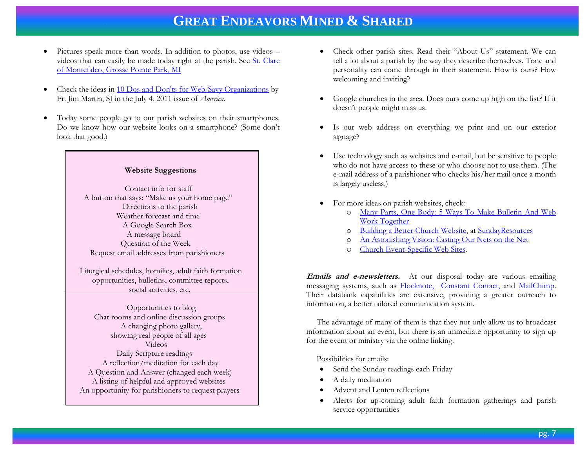- Pictures speak more than words. In addition to photos, use videos videos that can easily be made today right at the parish. See St. Clare [of Montefalco, Grosse Pointe Park, MI](http://www.stclarem.org/)
- Check the ideas in [10 Dos and Don'ts for Web-Savy Organizations](http://americamagazine.org/issue/781/article/10-dos-and-donts) by Fr. Jim Martin, SJ in the July 4, 2011 issue of *America.*
- Today some people go to our parish websites on their smartphones. Do we know how our website looks on a smartphone? (Some don't look that good.)

#### **Website Suggestions**

 Contact info for staff A button that says: "Make us your home page" Directions to the parish Weather forecast and time A Google Search Box A message board Question of the Week Request email addresses from parishioners

Liturgical schedules, homilies, adult faith formation opportunities, bulletins, committee reports, social activities, etc.

 Opportunities to blog Chat rooms and online discussion groups A changing photo gallery, showing real people of all ages Videos Daily Scripture readings

 A reflection/meditation for each day A Question and Answer (changed each week) A listing of helpful and approved websites An opportunity for parishioners to request prayers

- Check other parish sites. Read their "About Us" statement. We can tell a lot about a parish by the way they describe themselves. Tone and personality can come through in their statement. How is ours? How welcoming and inviting?
- Google churches in the area. Does ours come up high on the list? If it doesn't people might miss us.
- Is our web address on everything we print and on our exterior signage?
- Use technology such as websites and e-mail, but be sensitive to people who do not have access to these or who choose not to use them. (The e-mail address of a parishioner who checks his/her mail once a month is largely useless.)
- For more ideas on parish websites, check:
	- o [Many Parts, One Body: 5 Ways To Make Bulletin And Web](http://catholictechtalk.com/2013/02/04/many-parts-one-body-5-ways-to-make-bulletin-and-web-work-together/)  [Work Together](http://catholictechtalk.com/2013/02/04/many-parts-one-body-5-ways-to-make-bulletin-and-web-work-together/)
	- o [Building a Better Church Website,](http://sundayresources.net/neil/category/churchsite/) a[t SundayResources](http://sundayresources.net/)
	- o [An Astonishing Vision: Casting Our Nets on the Net](http://americamagazine.org/issue/398/article/astonishing-vision)
	- o [Church Event-Specific Web Sites.](http://churchm.ag/church-event-specific-web-sites/?utm)

**Emails and e-newsletters.** At our disposal today are various emailing messaging systems, such as [Flocknote,](http://flocknote.com/) [Constant Contact,](http://www.constantcontact.com/next?s_tnt=53062:4:0) and [MailChimp.](http://www.lynda.com/MailChimp-tutorials/MailChimp-Fundamentals/169621-2.html?utm_source=bing&utm_medium=cpc&utm_campaign=l1-US-Search-Mkt-MailChimp&cid=l1-us:en:ps:lp:prosc:s2058:2789:all:bing:xct-mailchimp_tutorial&utm_content=%7Bcreative%7D&utm_term=%5Bmailchimp%20Tutorial%5D)  Their databank capabilities are extensive, providing a greater outreach to information, a better tailored communication system.

 The advantage of many of them is that they not only allow us to broadcast information about an event, but there is an immediate opportunity to sign up for the event or ministry via the online linking.

Possibilities for emails:

- Send the Sunday readings each Friday
- A daily meditation
- Advent and Lenten reflections
- Alerts for up-coming adult faith formation gatherings and parish service opportunities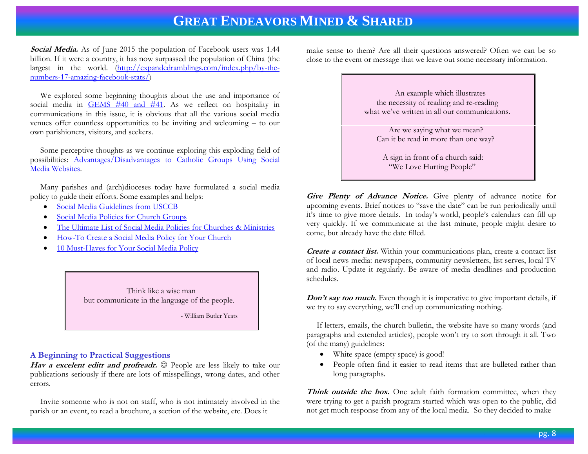**Social Media.** As of June 2015 the population of Facebook users was 1.44 billion. If it were a country, it has now surpassed the population of China (the largest in the world. [\(http://expandedramblings.com/index.php/by-the](http://expandedramblings.com/index.php/by-the-numbers-17-amazing-facebook-stats/)[numbers-17-amazing-facebook-stats/\)](http://expandedramblings.com/index.php/by-the-numbers-17-amazing-facebook-stats/)

 We explored some beginning thoughts about the use and importance of social media in [GEMS #40 and #41.](http://www.janetschaeffler.com/Best-Practices.html) As we reflect on hospitality in communications in this issue, it is obvious that all the various social media venues offer countless opportunities to be inviting and welcoming – to our own parishioners, visitors, and seekers.

 Some perceptive thoughts as we continue exploring this exploding field of possibilities: [Advantages/Disadvantages to Catholic Groups Using Social](http://www.catholicwebsolutions.com/2011/02/28/advantagesdisadvantages-to-catholic-groups-using-social-media-websites/)  [Media Websites.](http://www.catholicwebsolutions.com/2011/02/28/advantagesdisadvantages-to-catholic-groups-using-social-media-websites/)

 Many parishes and (arch)dioceses today have formulated a social media policy to guide their efforts. Some examples and helps:

- [Social Media Guidelines from USCCB](http://www.usccb.org/about/communications/social-media-guidelines.cfm)
- [Social Media Policies for Church Groups](http://www.catholicwebsolutions.com/2010/11/15/social-media-policies-for-church-groups/)
- [The Ultimate List of Social Media Policies for Churches & Ministries](http://justinwise.net/social-media-policies-churches-ministries)
- [How-To Create a Social Media Policy for Your Church](http://churchm.ag/social-media-policy/)
- [10 Must-Haves for Your Social Media Policy](http://mashable.com/2009/06/02/social-media-policy-musts/)

 Think like a wise man but communicate in the language of the people.

- William Butler Yeats

#### **A Beginning to Practical Suggestions**

Hav a excelent editr and profreadr.  $\odot$  People are less likely to take our publications seriously if there are lots of misspellings, wrong dates, and other errors.

 Invite someone who is not on staff, who is not intimately involved in the parish or an event, to read a brochure, a section of the website, etc. Does it

make sense to them? Are all their questions answered? Often we can be so close to the event or message that we leave out some necessary information.

> An example which illustrates the necessity of reading and re-reading what we've written in all our communications.

> > Are we saying what we mean? Can it be read in more than one way?

 A sign in front of a church said: "We Love Hurting People"

**Give Plenty of Advance Notice.** Give plenty of advance notice for upcoming events. Brief notices to "save the date" can be run periodically until it's time to give more details. In today's world, people's calendars can fill up very quickly. If we communicate at the last minute, people might desire to come, but already have the date filled.

**Create a contact list.** Within your communications plan, create a contact list of local news media: newspapers, community newsletters, list serves, local TV and radio. Update it regularly. Be aware of media deadlines and production schedules.

**Don't say too much.** Even though it is imperative to give important details, if we try to say everything, we'll end up communicating nothing.

 If letters, emails, the church bulletin, the website have so many words (and paragraphs and extended articles), people won't try to sort through it all. Two (of the many) guidelines:

- White space (empty space) is good!
- People often find it easier to read items that are bulleted rather than long paragraphs.

Think outside the box. One adult faith formation committee, when they were trying to get a parish program started which was open to the public, did not get much response from any of the local media. So they decided to make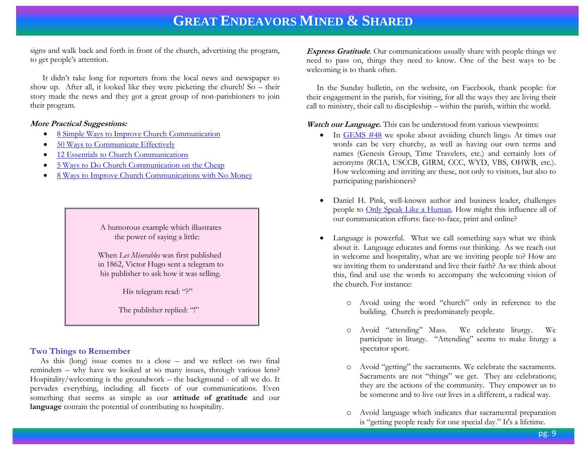signs and walk back and forth in front of the church, advertising the program, to get people's attention.

 It didn't take long for reporters from the local news and newspaper to show up. After all, it looked like they were picketing the church! So – their story made the news and they got a great group of non-parishioners to join their program.

#### **More Practical Suggestions:**

- [8 Simple Ways to Improve Church Communication](http://flocknote.com/blog/8-simple-ways-improve-your-parish-communication)
- [50 Ways to Communicate Effectively](http://www.churchleadership.com/pdfs/50Ways/50_Ways_Communications.pdf)
- [12 Essentials to Church Communications](http://www.churchleaders.com/pastors/pastor-articles/164799-tim-peters-12-essentials-to-church-communications.html)
- [5 Ways to Do Church Communication on the Cheap](http://www.churchmarketingsucks.com/2013/04/5-ways-to-do-church-communication-on-the-cheap/)
- [8 Ways to Improve Church Communications with No Money](http://blog.ourchurch.com/2006/03/03/8-ways-to-improve-church-communication-with-no-money/)

 A humorous example which illustrates the power of saying a little:

 When *Les Miserables* was first published in 1862, Victor Hugo sent a telegram to his publisher to ask how it was selling.

His telegram read: "?"

The publisher replied: "!"

#### **Two Things to Remember**

 As this (long) issue comes to a close – and we reflect on two final reminders – why have we looked at so many issues, through various lens? Hospitality/welcoming is the groundwork – the background - of all we do. It pervades everything, including all facets of our communications. Even something that seems as simple as our **attitude of gratitude** and our **language** contain the potential of contributing to hospitality.

**Express Gratitude**. Our communications usually share with people things we need to pass on, things they need to know. One of the best ways to be welcoming is to thank often.

 In the Sunday bulletin, on the website, on Facebook, thank people: for their engagement in the parish, for visiting, for all the ways they are living their call to ministry, their call to discipleship – within the parish, within the world.

Watch our Language. This can be understood from various viewpoints:

- In [GEMS #48](http://www.janetschaeffler.com/GEMS__48_.pdf) we spoke about avoiding church lingo. At times our words can be very churchy, as well as having our own terms and names (Genesis Group, Time Travelers, etc.) and certainly lots of acronyms (RCIA, USCCB, GIRM, CCC, WYD, VBS, OHWB, etc.). How welcoming and inviting are these, not only to visitors, but also to participating parishioners?
- Daniel H. Pink, well-known author and business leader, challenges people to [Only Speak Like a Human.](http://www.dailygood.org/more.php?n=5327) How might this influence all of our communication efforts: face-to-face, print and online?
- Language is powerful. What we call something says what we think about it. Language educates and forms our thinking. As we reach out in welcome and hospitality, what are we inviting people to? How are we inviting them to understand and live their faith? As we think about this, find and use the words to accompany the welcoming vision of the church. For instance:
	- o Avoid using the word "church" only in reference to the building. Church is predominately people.
	- o Avoid "attending" Mass. We celebrate liturgy. We participate in liturgy. "Attending" seems to make liturgy a spectator sport.
	- o Avoid "getting" the sacraments. We celebrate the sacraments. Sacraments are not "things" we get. They are celebrations; they are the actions of the community. They empower us to be someone and to live our lives in a different, a radical way.
	- o Avoid language which indicates that sacramental preparation is "getting people ready for one special day." It's a lifetime.